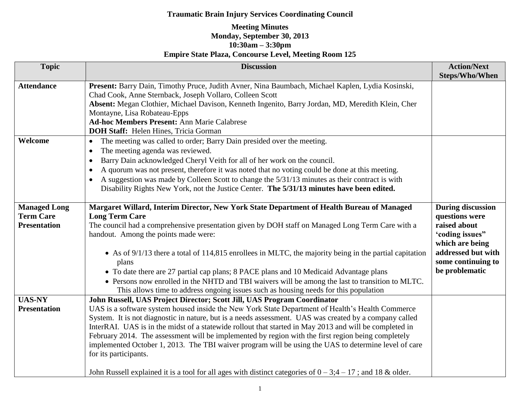| <b>Topic</b>        | <b>Discussion</b>                                                                                                                                            | <b>Action/Next</b><br><b>Steps/Who/When</b> |
|---------------------|--------------------------------------------------------------------------------------------------------------------------------------------------------------|---------------------------------------------|
| <b>Attendance</b>   | Present: Barry Dain, Timothy Pruce, Judith Avner, Nina Baumbach, Michael Kaplen, Lydia Kosinski,<br>Chad Cook, Anne Sternback, Joseph Vollaro, Colleen Scott |                                             |
|                     | Absent: Megan Clothier, Michael Davison, Kenneth Ingenito, Barry Jordan, MD, Meredith Klein, Cher                                                            |                                             |
|                     | Montayne, Lisa Robateau-Epps                                                                                                                                 |                                             |
|                     | <b>Ad-hoc Members Present: Ann Marie Calabrese</b>                                                                                                           |                                             |
|                     | <b>DOH Staff:</b> Helen Hines, Tricia Gorman                                                                                                                 |                                             |
| Welcome             | The meeting was called to order; Barry Dain presided over the meeting.<br>$\bullet$                                                                          |                                             |
|                     | The meeting agenda was reviewed.                                                                                                                             |                                             |
|                     | Barry Dain acknowledged Cheryl Veith for all of her work on the council.<br>$\bullet$                                                                        |                                             |
|                     | A quorum was not present, therefore it was noted that no voting could be done at this meeting.                                                               |                                             |
|                     | A suggestion was made by Colleen Scott to change the 5/31/13 minutes as their contract is with                                                               |                                             |
|                     | Disability Rights New York, not the Justice Center. The 5/31/13 minutes have been edited.                                                                    |                                             |
|                     |                                                                                                                                                              |                                             |
| <b>Managed Long</b> | Margaret Willard, Interim Director, New York State Department of Health Bureau of Managed                                                                    | <b>During discussion</b>                    |
| <b>Term Care</b>    | <b>Long Term Care</b>                                                                                                                                        | questions were                              |
| <b>Presentation</b> | The council had a comprehensive presentation given by DOH staff on Managed Long Term Care with a<br>handout. Among the points made were:                     | raised about                                |
|                     |                                                                                                                                                              | 'coding issues"<br>which are being          |
|                     | • As of 9/1/13 there a total of 114,815 enrollees in MLTC, the majority being in the partial capitation                                                      | addressed but with                          |
|                     | plans                                                                                                                                                        | some continuing to                          |
|                     | • To date there are 27 partial cap plans; 8 PACE plans and 10 Medicaid Advantage plans                                                                       | be problematic                              |
|                     | • Persons now enrolled in the NHTD and TBI waivers will be among the last to transition to MLTC.                                                             |                                             |
|                     | This allows time to address ongoing issues such as housing needs for this population                                                                         |                                             |
| <b>UAS-NY</b>       | John Russell, UAS Project Director; Scott Jill, UAS Program Coordinator                                                                                      |                                             |
| <b>Presentation</b> | UAS is a software system housed inside the New York State Department of Health's Health Commerce                                                             |                                             |
|                     | System. It is not diagnostic in nature, but is a needs assessment. UAS was created by a company called                                                       |                                             |
|                     | InterRAI. UAS is in the midst of a statewide rollout that started in May 2013 and will be completed in                                                       |                                             |
|                     | February 2014. The assessment will be implemented by region with the first region being completely                                                           |                                             |
|                     | implemented October 1, 2013. The TBI waiver program will be using the UAS to determine level of care                                                         |                                             |
|                     | for its participants.                                                                                                                                        |                                             |
|                     | John Russell explained it is a tool for all ages with distinct categories of $0 - 3; 4 - 17$ ; and 18 & older.                                               |                                             |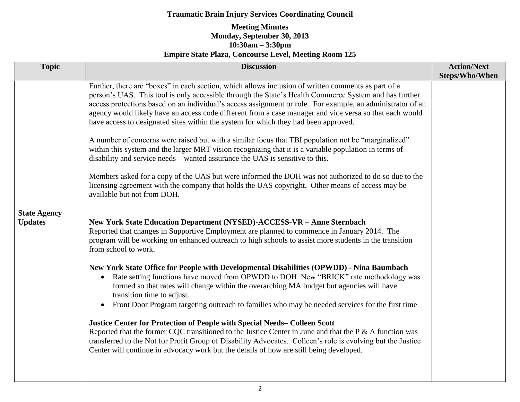| <b>Topic</b>                          | <b>Discussion</b>                                                                                                                                                                                                                                                                                                                                                                                                                                                                                                                                                                                                                                                                                                                                                                                                                                                                                                                                                                                                                                                                                                                                       | <b>Action/Next</b><br><b>Steps/Who/When</b> |
|---------------------------------------|---------------------------------------------------------------------------------------------------------------------------------------------------------------------------------------------------------------------------------------------------------------------------------------------------------------------------------------------------------------------------------------------------------------------------------------------------------------------------------------------------------------------------------------------------------------------------------------------------------------------------------------------------------------------------------------------------------------------------------------------------------------------------------------------------------------------------------------------------------------------------------------------------------------------------------------------------------------------------------------------------------------------------------------------------------------------------------------------------------------------------------------------------------|---------------------------------------------|
|                                       | Further, there are "boxes" in each section, which allows inclusion of written comments as part of a<br>person's UAS. This tool is only accessible through the State's Health Commerce System and has further<br>access protections based on an individual's access assignment or role. For example, an administrator of an<br>agency would likely have an access code different from a case manager and vice versa so that each would<br>have access to designated sites within the system for which they had been approved.<br>A number of concerns were raised but with a similar focus that TBI population not be "marginalized"<br>within this system and the larger MRT vision recognizing that it is a variable population in terms of<br>disability and service needs – wanted assurance the UAS is sensitive to this.<br>Members asked for a copy of the UAS but were informed the DOH was not authorized to do so due to the<br>licensing agreement with the company that holds the UAS copyright. Other means of access may be<br>available but not from DOH.                                                                                 |                                             |
| <b>State Agency</b><br><b>Updates</b> | New York State Education Department (NYSED)-ACCESS-VR - Anne Sternbach<br>Reported that changes in Supportive Employment are planned to commence in January 2014. The<br>program will be working on enhanced outreach to high schools to assist more students in the transition<br>from school to work.<br>New York State Office for People with Developmental Disabilities (OPWDD) - Nina Baumbach<br>Rate setting functions have moved from OPWDD to DOH. New "BRICK" rate methodology was<br>$\bullet$<br>formed so that rates will change within the overarching MA budget but agencies will have<br>transition time to adjust.<br>Front Door Program targeting outreach to families who may be needed services for the first time<br>$\bullet$<br>Justice Center for Protection of People with Special Needs-Colleen Scott<br>Reported that the former CQC transitioned to the Justice Center in June and that the $P \& A$ function was<br>transferred to the Not for Profit Group of Disability Advocates. Colleen's role is evolving but the Justice<br>Center will continue in advocacy work but the details of how are still being developed. |                                             |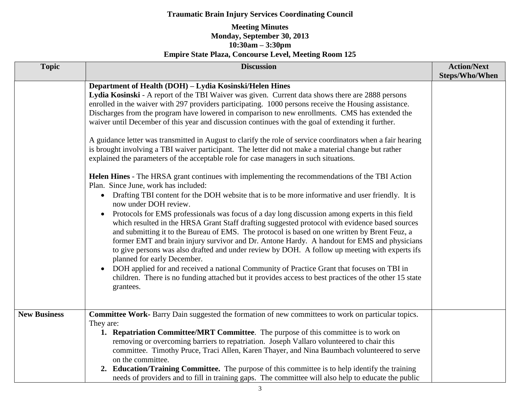| <b>Topic</b>        | <b>Discussion</b>                                                                                                                                                                                                                                                                                                                                                                                                                                                                                                                                                                                                                                                                                                                                                                                                                                                                                                                                                                                                                                                                                                                                                                                                                                                                                                                                                                                                                                                                                                                                                                                                                                                                                                                                                                                                                                        | <b>Action/Next</b><br><b>Steps/Who/When</b> |
|---------------------|----------------------------------------------------------------------------------------------------------------------------------------------------------------------------------------------------------------------------------------------------------------------------------------------------------------------------------------------------------------------------------------------------------------------------------------------------------------------------------------------------------------------------------------------------------------------------------------------------------------------------------------------------------------------------------------------------------------------------------------------------------------------------------------------------------------------------------------------------------------------------------------------------------------------------------------------------------------------------------------------------------------------------------------------------------------------------------------------------------------------------------------------------------------------------------------------------------------------------------------------------------------------------------------------------------------------------------------------------------------------------------------------------------------------------------------------------------------------------------------------------------------------------------------------------------------------------------------------------------------------------------------------------------------------------------------------------------------------------------------------------------------------------------------------------------------------------------------------------------|---------------------------------------------|
|                     | Department of Health (DOH) - Lydia Kosinski/Helen Hines<br>Lydia Kosinski - A report of the TBI Waiver was given. Current data shows there are 2888 persons<br>enrolled in the waiver with 297 providers participating. 1000 persons receive the Housing assistance.<br>Discharges from the program have lowered in comparison to new enrollments. CMS has extended the<br>waiver until December of this year and discussion continues with the goal of extending it further.<br>A guidance letter was transmitted in August to clarify the role of service coordinators when a fair hearing<br>is brought involving a TBI waiver participant. The letter did not make a material change but rather<br>explained the parameters of the acceptable role for case managers in such situations.<br>Helen Hines - The HRSA grant continues with implementing the recommendations of the TBI Action<br>Plan. Since June, work has included:<br>• Drafting TBI content for the DOH website that is to be more informative and user friendly. It is<br>now under DOH review.<br>Protocols for EMS professionals was focus of a day long discussion among experts in this field<br>$\bullet$<br>which resulted in the HRSA Grant Staff drafting suggested protocol with evidence based sources<br>and submitting it to the Bureau of EMS. The protocol is based on one written by Brent Feuz, a<br>former EMT and brain injury survivor and Dr. Antone Hardy. A handout for EMS and physicians<br>to give persons was also drafted and under review by DOH. A follow up meeting with experts ifs<br>planned for early December.<br>DOH applied for and received a national Community of Practice Grant that focuses on TBI in<br>$\bullet$<br>children. There is no funding attached but it provides access to best practices of the other 15 state<br>grantees. |                                             |
| <b>New Business</b> | <b>Committee Work-</b> Barry Dain suggested the formation of new committees to work on particular topics.<br>They are:<br>1. Repatriation Committee/MRT Committee. The purpose of this committee is to work on<br>removing or overcoming barriers to repatriation. Joseph Vallaro volunteered to chair this<br>committee. Timothy Pruce, Traci Allen, Karen Thayer, and Nina Baumbach volunteered to serve<br>on the committee.<br>2. Education/Training Committee. The purpose of this committee is to help identify the training<br>needs of providers and to fill in training gaps. The committee will also help to educate the public                                                                                                                                                                                                                                                                                                                                                                                                                                                                                                                                                                                                                                                                                                                                                                                                                                                                                                                                                                                                                                                                                                                                                                                                                |                                             |